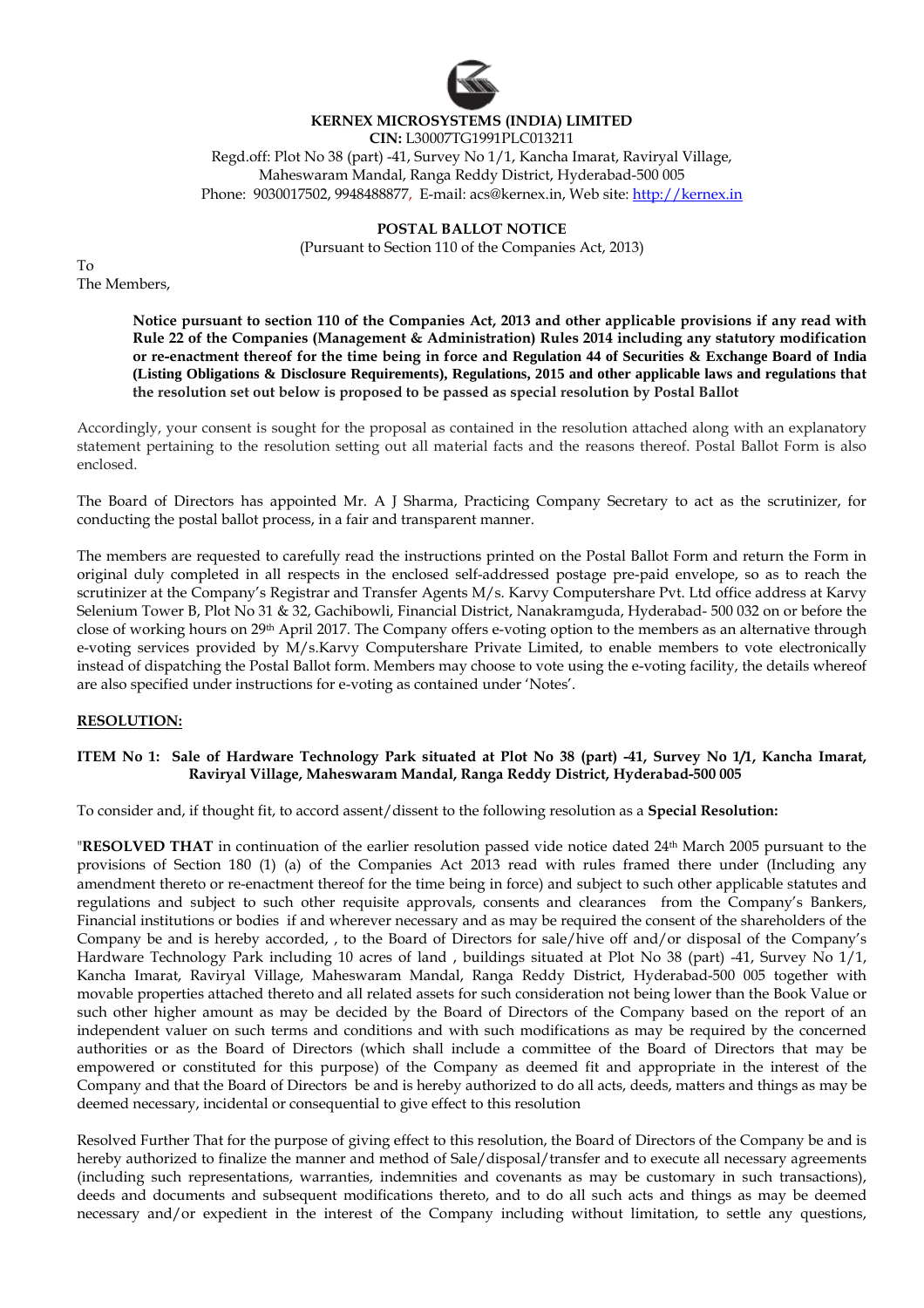

# **KERNEX MICROSYSTEMS (INDIA) LIMITED**

**CIN:** L30007TG1991PLC013211 Regd.off: Plot No 38 (part) -41, Survey No 1/1, Kancha Imarat, Raviryal Village, Maheswaram Mandal, Ranga Reddy District, Hyderabad-500 005 Phone: 9030017502, 9948488877, E-mail: acs@kernex.in, Web site: http://kernex.in

## **POSTAL BALLOT NOTICE**

(Pursuant to Section 110 of the Companies Act, 2013)

To The Members,

> **Notice pursuant to section 110 of the Companies Act, 2013 and other applicable provisions if any read with Rule 22 of the Companies (Management & Administration) Rules 2014 including any statutory modification or re-enactment thereof for the time being in force and Regulation 44 of Securities & Exchange Board of India (Listing Obligations & Disclosure Requirements), Regulations, 2015 and other applicable laws and regulations that the resolution set out below is proposed to be passed as special resolution by Postal Ballot**

Accordingly, your consent is sought for the proposal as contained in the resolution attached along with an explanatory statement pertaining to the resolution setting out all material facts and the reasons thereof. Postal Ballot Form is also enclosed.

The Board of Directors has appointed Mr. A J Sharma, Practicing Company Secretary to act as the scrutinizer, for conducting the postal ballot process, in a fair and transparent manner.

The members are requested to carefully read the instructions printed on the Postal Ballot Form and return the Form in original duly completed in all respects in the enclosed self-addressed postage pre-paid envelope, so as to reach the scrutinizer at the Company's Registrar and Transfer Agents M/s. Karvy Computershare Pvt. Ltd office address at Karvy Selenium Tower B, Plot No 31 & 32, Gachibowli, Financial District, Nanakramguda, Hyderabad- 500 032 on or before the close of working hours on 29<sup>th</sup> April 2017. The Company offers e-voting option to the members as an alternative through e-voting services provided by M/s.Karvy Computershare Private Limited, to enable members to vote electronically instead of dispatching the Postal Ballot form. Members may choose to vote using the e-voting facility, the details whereof are also specified under instructions for e-voting as contained under 'Notes'.

### **RESOLUTION:**

### **ITEM No 1: Sale of Hardware Technology Park situated at Plot No 38 (part) -41, Survey No 1/1, Kancha Imarat, Raviryal Village, Maheswaram Mandal, Ranga Reddy District, Hyderabad-500 005**

To consider and, if thought fit, to accord assent/dissent to the following resolution as a **Special Resolution:** 

"**RESOLVED THAT** in continuation of the earlier resolution passed vide notice dated 24th March 2005 pursuant to the provisions of Section 180 (1) (a) of the Companies Act 2013 read with rules framed there under (Including any amendment thereto or re-enactment thereof for the time being in force) and subject to such other applicable statutes and regulations and subject to such other requisite approvals, consents and clearances from the Company's Bankers, Financial institutions or bodies if and wherever necessary and as may be required the consent of the shareholders of the Company be and is hereby accorded, , to the Board of Directors for sale/hive off and/or disposal of the Company's Hardware Technology Park including 10 acres of land , buildings situated at Plot No 38 (part) -41, Survey No 1/1, Kancha Imarat, Raviryal Village, Maheswaram Mandal, Ranga Reddy District, Hyderabad-500 005 together with movable properties attached thereto and all related assets for such consideration not being lower than the Book Value or such other higher amount as may be decided by the Board of Directors of the Company based on the report of an independent valuer on such terms and conditions and with such modifications as may be required by the concerned authorities or as the Board of Directors (which shall include a committee of the Board of Directors that may be empowered or constituted for this purpose) of the Company as deemed fit and appropriate in the interest of the Company and that the Board of Directors be and is hereby authorized to do all acts, deeds, matters and things as may be deemed necessary, incidental or consequential to give effect to this resolution

Resolved Further That for the purpose of giving effect to this resolution, the Board of Directors of the Company be and is hereby authorized to finalize the manner and method of Sale/disposal/transfer and to execute all necessary agreements (including such representations, warranties, indemnities and covenants as may be customary in such transactions), deeds and documents and subsequent modifications thereto, and to do all such acts and things as may be deemed necessary and/or expedient in the interest of the Company including without limitation, to settle any questions,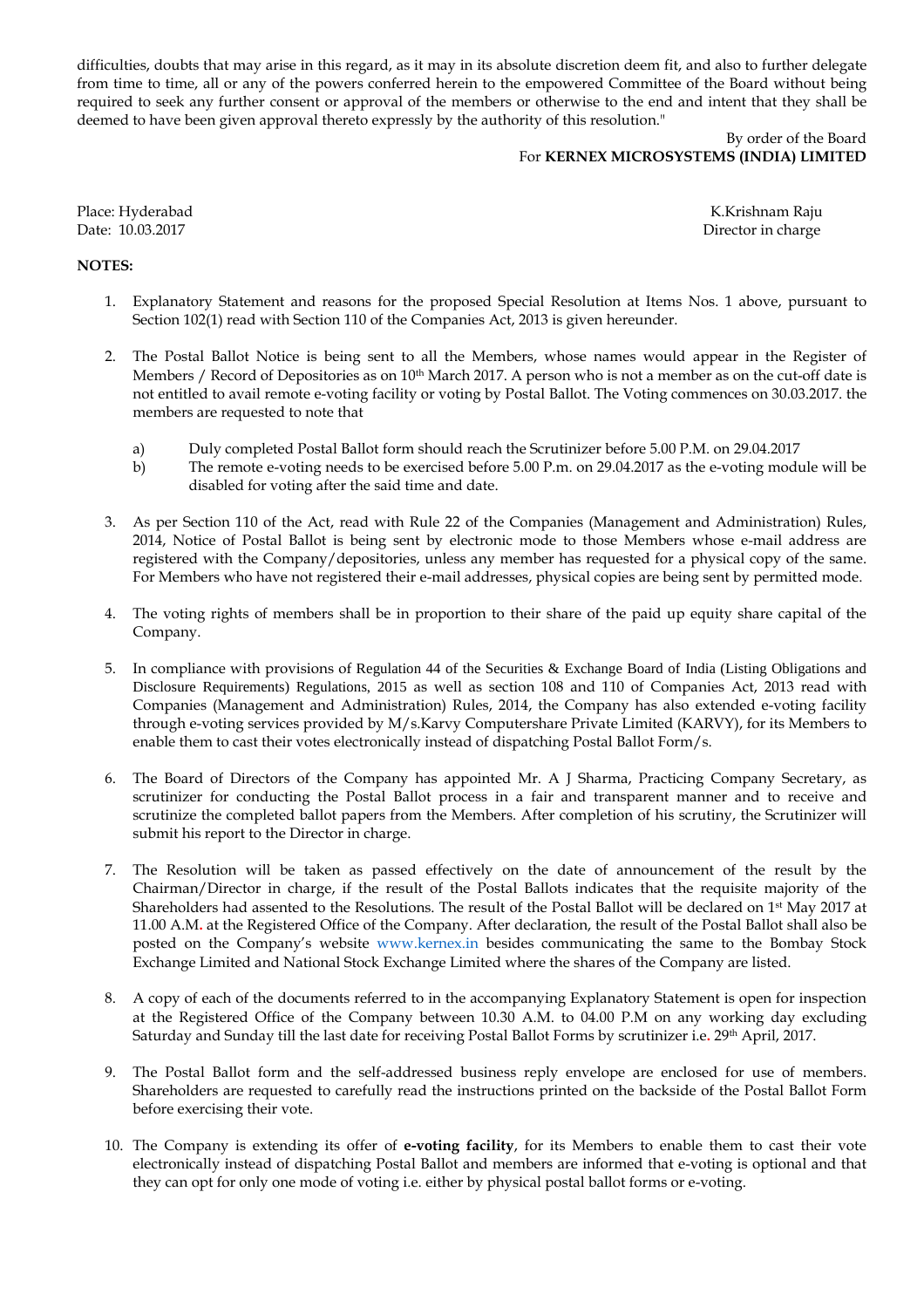difficulties, doubts that may arise in this regard, as it may in its absolute discretion deem fit, and also to further delegate from time to time, all or any of the powers conferred herein to the empowered Committee of the Board without being required to seek any further consent or approval of the members or otherwise to the end and intent that they shall be deemed to have been given approval thereto expressly by the authority of this resolution."

## By order of the Board For **KERNEX MICROSYSTEMS (INDIA) LIMITED**

Place: Hyderabad K.Krishnam Raju

Date: 10.03.2017 Director in charge

## **NOTES:**

- 1. Explanatory Statement and reasons for the proposed Special Resolution at Items Nos. 1 above, pursuant to Section 102(1) read with Section 110 of the Companies Act, 2013 is given hereunder.
- 2. The Postal Ballot Notice is being sent to all the Members, whose names would appear in the Register of Members / Record of Depositories as on  $10<sup>th</sup>$  March 2017. A person who is not a member as on the cut-off date is not entitled to avail remote e-voting facility or voting by Postal Ballot. The Voting commences on 30.03.2017. the members are requested to note that
	- a) Duly completed Postal Ballot form should reach the Scrutinizer before 5.00 P.M. on 29.04.2017
	- b) The remote e-voting needs to be exercised before 5.00 P.m. on 29.04.2017 as the e-voting module will be disabled for voting after the said time and date.
- 3. As per Section 110 of the Act, read with Rule 22 of the Companies (Management and Administration) Rules, 2014, Notice of Postal Ballot is being sent by electronic mode to those Members whose e-mail address are registered with the Company/depositories, unless any member has requested for a physical copy of the same. For Members who have not registered their e-mail addresses, physical copies are being sent by permitted mode.
- 4. The voting rights of members shall be in proportion to their share of the paid up equity share capital of the Company.
- 5. In compliance with provisions of Regulation 44 of the Securities & Exchange Board of India (Listing Obligations and Disclosure Requirements) Regulations, 2015 as well as section 108 and 110 of Companies Act, 2013 read with Companies (Management and Administration) Rules, 2014, the Company has also extended e-voting facility through e-voting services provided by M/s.Karvy Computershare Private Limited (KARVY), for its Members to enable them to cast their votes electronically instead of dispatching Postal Ballot Form/s.
- 6. The Board of Directors of the Company has appointed Mr. A J Sharma, Practicing Company Secretary, as scrutinizer for conducting the Postal Ballot process in a fair and transparent manner and to receive and scrutinize the completed ballot papers from the Members. After completion of his scrutiny, the Scrutinizer will submit his report to the Director in charge.
- 7. The Resolution will be taken as passed effectively on the date of announcement of the result by the Chairman/Director in charge, if the result of the Postal Ballots indicates that the requisite majority of the Shareholders had assented to the Resolutions. The result of the Postal Ballot will be declared on 1<sup>st</sup> May 2017 at 11.00 A.M**.** at the Registered Office of the Company. After declaration, the result of the Postal Ballot shall also be posted on the Company's website www.kernex.in besides communicating the same to the Bombay Stock Exchange Limited and National Stock Exchange Limited where the shares of the Company are listed.
- 8. A copy of each of the documents referred to in the accompanying Explanatory Statement is open for inspection at the Registered Office of the Company between 10.30 A.M. to 04.00 P.M on any working day excluding Saturday and Sunday till the last date for receiving Postal Ballot Forms by scrutinizer i.e**.** 29th April, 2017.
- 9. The Postal Ballot form and the self-addressed business reply envelope are enclosed for use of members. Shareholders are requested to carefully read the instructions printed on the backside of the Postal Ballot Form before exercising their vote.
- 10. The Company is extending its offer of **e-voting facility**, for its Members to enable them to cast their vote electronically instead of dispatching Postal Ballot and members are informed that e-voting is optional and that they can opt for only one mode of voting i.e. either by physical postal ballot forms or e-voting.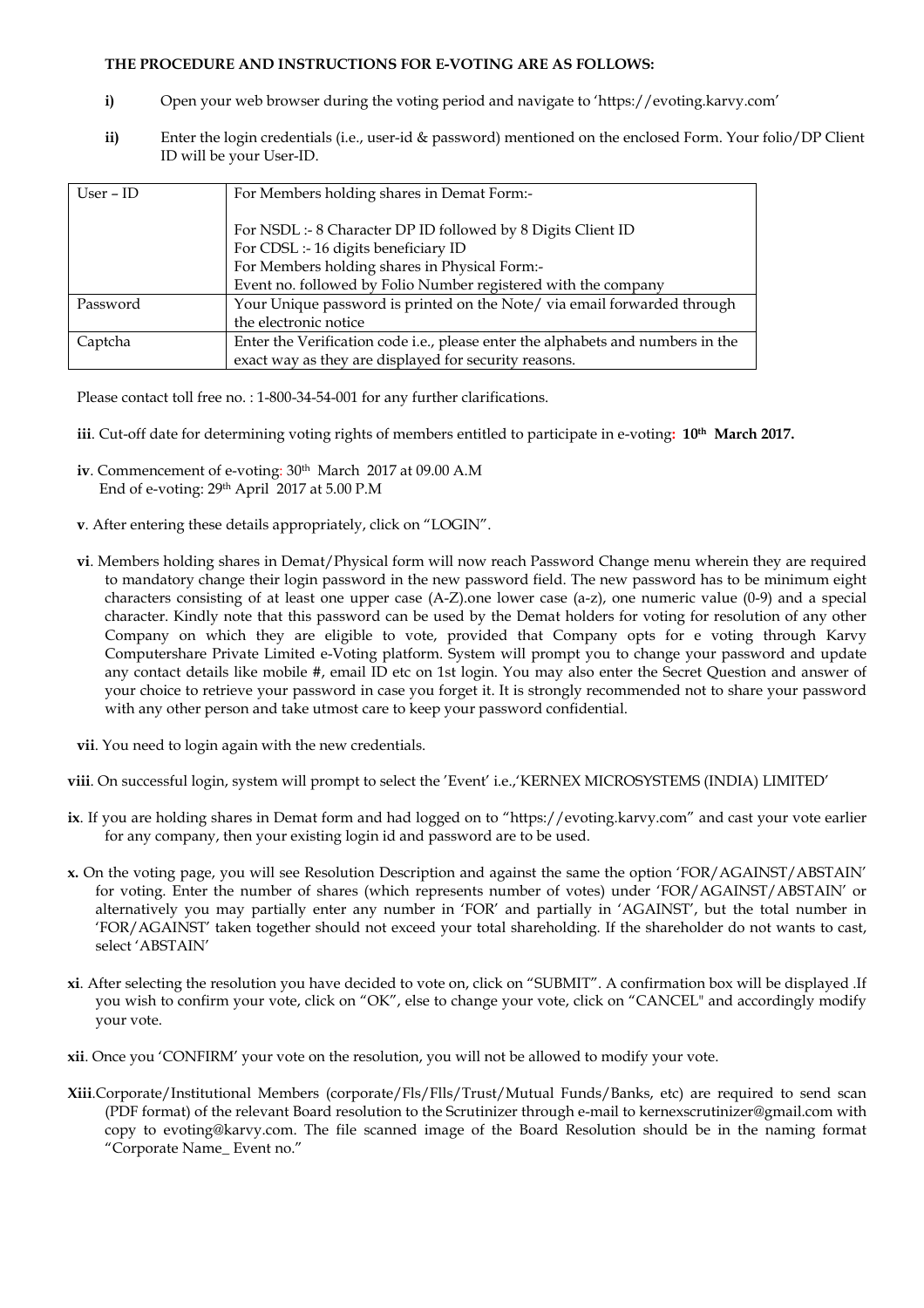### **THE PROCEDURE AND INSTRUCTIONS FOR E-VOTING ARE AS FOLLOWS:**

- **i)** Open your web browser during the voting period and navigate to 'https://evoting.karvy.com'
- **ii)** Enter the login credentials (i.e., user-id & password) mentioned on the enclosed Form. Your folio/DP Client ID will be your User-ID.

| User – ID | For Members holding shares in Demat Form:-                                      |
|-----------|---------------------------------------------------------------------------------|
|           | For NSDL :- 8 Character DP ID followed by 8 Digits Client ID                    |
|           | For CDSL :- 16 digits beneficiary ID                                            |
|           | For Members holding shares in Physical Form:-                                   |
|           | Event no. followed by Folio Number registered with the company                  |
| Password  | Your Unique password is printed on the Note/ via email forwarded through        |
|           | the electronic notice                                                           |
| Captcha   | Enter the Verification code i.e., please enter the alphabets and numbers in the |
|           | exact way as they are displayed for security reasons.                           |

Please contact toll free no.: 1-800-34-54-001 for any further clarifications.

- **iii**. Cut-off date for determining voting rights of members entitled to participate in e-voting**: 10th March 2017.**
- **iv**. Commencement of e-voting:  $30<sup>th</sup>$  March 2017 at 09.00 A.M End of e-voting: 29th April 2017 at 5.00 P.M
- **v**. After entering these details appropriately, click on "LOGIN".
- **vi**. Members holding shares in Demat/Physical form will now reach Password Change menu wherein they are required to mandatory change their login password in the new password field. The new password has to be minimum eight characters consisting of at least one upper case (A-Z).one lower case (a-z), one numeric value (0-9) and a special character. Kindly note that this password can be used by the Demat holders for voting for resolution of any other Company on which they are eligible to vote, provided that Company opts for e voting through Karvy Computershare Private Limited e-Voting platform. System will prompt you to change your password and update any contact details like mobile #, email ID etc on 1st login. You may also enter the Secret Question and answer of your choice to retrieve your password in case you forget it. It is strongly recommended not to share your password with any other person and take utmost care to keep your password confidential.
- **vii**. You need to login again with the new credentials.
- **viii**. On successful login, system will prompt to select the 'Event' i.e.,'KERNEX MICROSYSTEMS (INDIA) LIMITED'
- **ix**. If you are holding shares in Demat form and had logged on to "https://evoting.karvy.com" and cast your vote earlier for any company, then your existing login id and password are to be used.
- **x.** On the voting page, you will see Resolution Description and against the same the option 'FOR/AGAINST/ABSTAIN' for voting. Enter the number of shares (which represents number of votes) under 'FOR/AGAINST/ABSTAIN' or alternatively you may partially enter any number in 'FOR' and partially in 'AGAINST', but the total number in 'FOR/AGAINST' taken together should not exceed your total shareholding. If the shareholder do not wants to cast, select 'ABSTAIN'
- **xi**. After selecting the resolution you have decided to vote on, click on "SUBMIT". A confirmation box will be displayed .If you wish to confirm your vote, click on "OK", else to change your vote, click on "CANCEL" and accordingly modify your vote.
- **xii**. Once you 'CONFIRM' your vote on the resolution, you will not be allowed to modify your vote.
- **Xiii**.Corporate/Institutional Members (corporate/Fls/Flls/Trust/Mutual Funds/Banks, etc) are required to send scan (PDF format) of the relevant Board resolution to the Scrutinizer through e-mail to kernexscrutinizer@gmail.com with copy to evoting@karvy.com. The file scanned image of the Board Resolution should be in the naming format "Corporate Name\_ Event no."